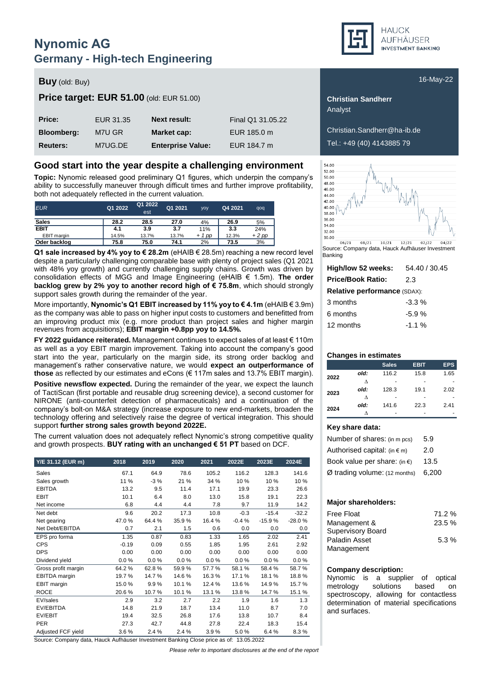## **Nynomic AG Germany - High-tech Engineering**

### **Buy** (old: Buy) **Buy** (old: Buy) **16-May-22**

### **Price target: EUR 51.00** (old: EUR 51.00) **Christian Sandherr Christian Sandherr**

| Price:            | EUR 31.35 | <b>Next result:</b>      | Final Q1 31.05.22 |
|-------------------|-----------|--------------------------|-------------------|
| <b>Bloomberg:</b> | M7U GR    | Market cap:              | EUR 185.0 m       |
| <b>Reuters:</b>   | M7UG.DE   | <b>Enterprise Value:</b> | EUR 184.7 m       |

#### **Good start into the year despite a challenging environment**

**Topic:** Nynomic released good preliminary Q1 figures, which underpin the company's ability to successfully maneuver through difficult times and further improve profitability, both not adequately reflected in the current valuation.

| <b>EUR</b>   | Q1 2022 | Q1 2022<br>est | Q1 2021 | <b>VOV</b> | Q4 2021 | qoq    |
|--------------|---------|----------------|---------|------------|---------|--------|
| <b>Sales</b> | 28.2    | 28.5           | 27.0    | 4%         | 26.9    | 5%     |
| <b>EBIT</b>  | 4.1     | 3.9            | 3.7     | 11%        | 3.3     | 24%    |
| EBIT margin  | 14.5%   | 13.7%          | 13.7%   | $+1$ pp    | 12.3%   | $+2pp$ |
| Oder backlog | 75.8    | 75.0           | 74.1    | 2%         | 73.5    | 3%     |

**Q1 sale increased by 4% yoy to € 28.2m** (eHAIB € 28.5m) reaching a new record level despite a particularly challenging comparable base with plenty of project sales (Q1 2021 with 48% yoy growth) and currently challenging supply chains. Growth was driven by consolidation effects of MGG and Image Engineering (eHAIB € 1.5m). **The order backlog grew by 2% yoy to another record high of € 75.8m**, which should strongly support sales growth during the remainder of the year.

More importantly, **Nynomic's Q1 EBIT increased by 11% yoy to € 4.1m** (eHAIB € 3.9m) as the company was able to pass on higher input costs to customers and benefitted from an improving product mix (e.g. more product than project sales and higher margin revenues from acquisitions); **EBIT margin +0.8pp yoy to 14.5%.**

**FY 2022 guidance reiterated.** Management continues to expect sales of at least € 110m as well as a yoy EBIT margin improvement. Taking into account the company's good start into the year, particularly on the margin side, its strong order backlog and management's rather conservative nature, we would **expect an outperformance of those** as reflected by our estimates and eCons (€ 117m sales and 13.7% EBIT margin).

**Positive newsflow expected.** During the remainder of the year, we expect the launch of TactiScan (first portable and reusable drug screening device), a second customer for NIRONE (anti-counterfeit detection of pharmaceuticals) and a continuation of the company's bolt-on M&A strategy (increase exposure to new end-markets, broaden the technology offering and selectively raise the degree of vertical integration. This should support **further strong sales growth beyond 2022E.**

The current valuation does not adequately reflect Nynomic's strong competitive quality and growth prospects. **BUY rating with an unchanged € 51 PT** based on DCF.

| Y/E 31.12 (EUR m)   | 2018    | 2019  | 2020  | 2021   | 2022E   | 2023E    | 2024E    |
|---------------------|---------|-------|-------|--------|---------|----------|----------|
| Sales               | 67.1    | 64.9  | 78.6  | 105.2  | 116.2   | 128.3    | 141.6    |
| Sales growth        | 11 %    | $-3%$ | 21 %  | 34 %   | 10%     | 10%      | 10%      |
| <b>EBITDA</b>       | 13.2    | 9.5   | 11.4  | 17.1   | 19.9    | 23.3     | 26.6     |
| <b>EBIT</b>         | 10.1    | 6.4   | 8.0   | 13.0   | 15.8    | 19.1     | 22.3     |
| Net income          | 6.8     | 4.4   | 4.4   | 7.8    | 9.7     | 11.9     | 14.2     |
| Net debt            | 9.6     | 20.2  | 17.3  | 10.8   | $-0.3$  | $-15.4$  | $-32.2$  |
| Net gearing         | 47.0%   | 64.4% | 35.9% | 16.4%  | $-0.4%$ | $-15.9%$ | $-28.0%$ |
| Net Debt/EBITDA     | 0.7     | 2.1   | 1.5   | 0.6    | 0.0     | 0.0      | 0.0      |
| EPS pro forma       | 1.35    | 0.87  | 0.83  | 1.33   | 1.65    | 2.02     | 2.41     |
| <b>CPS</b>          | $-0.19$ | 0.09  | 0.55  | 1.85   | 1.95    | 2.61     | 2.92     |
| <b>DPS</b>          | 0.00    | 0.00  | 0.00  | 0.00   | 0.00    | 0.00     | 0.00     |
| Dividend yield      | 0.0%    | 0.0%  | 0.0%  | 0.0%   | 0.0%    | $0.0\%$  | $0.0\%$  |
| Gross profit margin | 64.2%   | 62.8% | 59.9% | 57.7 % | 58.1%   | 58.4%    | 58.7%    |
| EBITDA margin       | 19.7%   | 14.7% | 14.6% | 16.3%  | 17.1%   | 18.1%    | 18.8%    |
| EBIT margin         | 15.0%   | 9.9%  | 10.1% | 12.4 % | 13.6%   | 14.9%    | 15.7%    |
| <b>ROCE</b>         | 20.6%   | 10.7% | 10.1% | 13.1 % | 13.8%   | 14.7%    | 15.1 %   |
| EV/sales            | 2.9     | 3.2   | 2.7   | 2.2    | 1.9     | 1.6      | 1.3      |
| EV/EBITDA           | 14.8    | 21.9  | 18.7  | 13.4   | 11.0    | 8.7      | 7.0      |
| EV/EBIT             | 19.4    | 32.5  | 26.8  | 17.6   | 13.8    | 10.7     | 8.4      |
| <b>PER</b>          | 27.3    | 42.7  | 44.8  | 27.8   | 22.4    | 18.3     | 15.4     |
| Adjusted FCF yield  | 3.6%    | 2.4%  | 2.4 % | 3.9%   | 5.0%    | 6.4%     | 8.3%     |

Source: Company data, Hauck Aufhäuser Investment Banking Close price as of: 13.05.2022

*Please refer to important disclosures at the end of the report*



Analyst

**Bloomberg:** M7U GR **Market cap:** EUR 185.0 m Christian.Sandherr@ha-ib.de **Reuters:** M7UG.DE **Enterprise Value:** EUR 184.7 m Tel.: +49 (40) 4143885 79



Source: Company data, Hauck Aufhäuser Investment Banking

| High/low 52 weeks:                  | 54.40 / 30.45 |  |  |  |  |  |  |
|-------------------------------------|---------------|--|--|--|--|--|--|
| <b>Price/Book Ratio:</b>            | 2.3           |  |  |  |  |  |  |
| <b>Relative performance (SDAX):</b> |               |  |  |  |  |  |  |
| 3 months                            | $-3.3\%$      |  |  |  |  |  |  |
| 6 months                            | $-5.9%$       |  |  |  |  |  |  |
| 12 months                           | $-1.1%$       |  |  |  |  |  |  |
|                                     |               |  |  |  |  |  |  |

#### **Changes in estimates**

|      |      | <b>Sales</b> | <b>EBIT</b> | <b>EPS</b> |
|------|------|--------------|-------------|------------|
| 2022 | old: | 116.2        | 15.8        | 1.65       |
|      | л    |              |             |            |
| 2023 | old: | 128.3        | 19.1        | 2.02       |
|      | л    |              |             |            |
| 2024 | old: | 141.6        | 22.3        | 2.41       |
|      |      |              |             |            |

#### **Key share data:**

| Number of shares: (in m pcs)           | 5.9   |
|----------------------------------------|-------|
| Authorised capital: $(in \in m)$       | 2.0   |
| Book value per share: (in $\epsilon$ ) | 13.5  |
| Ø trading volume: (12 months)          | 6.200 |

#### **Major shareholders:**

| <b>Free Float</b>        | 71.2 % |
|--------------------------|--------|
| Management &             | 23.5%  |
| <b>Supervisory Board</b> |        |
| Paladin Asset            | 5.3%   |
| Management               |        |

#### **Company description:**

Nynomic is a supplier of optical metrology solutions based on spectroscopy, allowing for contactless determination of material specifications and surfaces.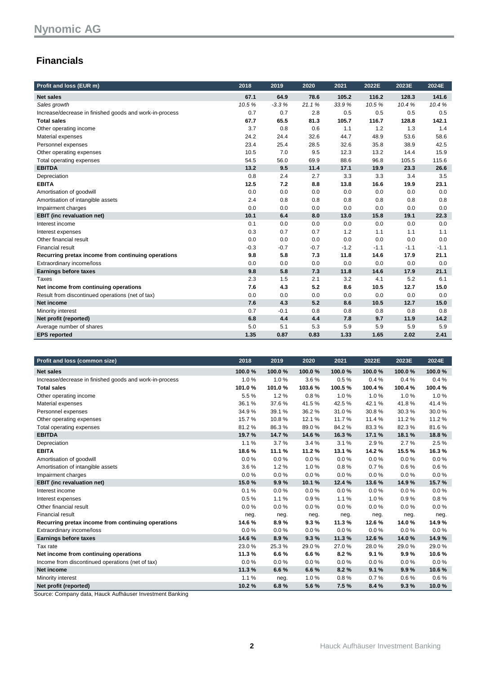### **Financials**

| Profit and loss (EUR m)                                 | 2018   | 2019    | 2020   | 2021   | 2022E  | 2023E  | 2024E  |
|---------------------------------------------------------|--------|---------|--------|--------|--------|--------|--------|
| <b>Net sales</b>                                        | 67.1   | 64.9    | 78.6   | 105.2  | 116.2  | 128.3  | 141.6  |
| Sales growth                                            | 10.5%  | $-3.3%$ | 21.1%  | 33.9%  | 10.5%  | 10.4%  | 10.4%  |
| Increase/decrease in finished goods and work-in-process | 0.7    | 0.7     | 2.8    | 0.5    | 0.5    | 0.5    | 0.5    |
| <b>Total sales</b>                                      | 67.7   | 65.5    | 81.3   | 105.7  | 116.7  | 128.8  | 142.1  |
| Other operating income                                  | 3.7    | 0.8     | 0.6    | 1.1    | 1.2    | 1.3    | 1.4    |
| Material expenses                                       | 24.2   | 24.4    | 32.6   | 44.7   | 48.9   | 53.6   | 58.6   |
| Personnel expenses                                      | 23.4   | 25.4    | 28.5   | 32.6   | 35.8   | 38.9   | 42.5   |
| Other operating expenses                                | 10.5   | 7.0     | 9.5    | 12.3   | 13.2   | 14.4   | 15.9   |
| Total operating expenses                                | 54.5   | 56.0    | 69.9   | 88.6   | 96.8   | 105.5  | 115.6  |
| <b>EBITDA</b>                                           | 13.2   | 9.5     | 11.4   | 17.1   | 19.9   | 23.3   | 26.6   |
| Depreciation                                            | 0.8    | 2.4     | 2.7    | 3.3    | 3.3    | 3.4    | 3.5    |
| <b>EBITA</b>                                            | 12.5   | 7.2     | 8.8    | 13.8   | 16.6   | 19.9   | 23.1   |
| Amortisation of goodwill                                | 0.0    | 0.0     | 0.0    | 0.0    | 0.0    | 0.0    | 0.0    |
| Amortisation of intangible assets                       | 2.4    | 0.8     | 0.8    | 0.8    | 0.8    | 0.8    | 0.8    |
| Impairment charges                                      | 0.0    | 0.0     | 0.0    | 0.0    | 0.0    | 0.0    | 0.0    |
| <b>EBIT</b> (inc revaluation net)                       | 10.1   | 6.4     | 8.0    | 13.0   | 15.8   | 19.1   | 22.3   |
| Interest income                                         | 0.1    | 0.0     | 0.0    | 0.0    | 0.0    | 0.0    | 0.0    |
| Interest expenses                                       | 0.3    | 0.7     | 0.7    | 1.2    | 1.1    | 1.1    | 1.1    |
| Other financial result                                  | 0.0    | 0.0     | 0.0    | 0.0    | 0.0    | 0.0    | 0.0    |
| <b>Financial result</b>                                 | $-0.3$ | $-0.7$  | $-0.7$ | $-1.2$ | $-1.1$ | $-1.1$ | $-1.1$ |
| Recurring pretax income from continuing operations      | 9.8    | 5.8     | 7.3    | 11.8   | 14.6   | 17.9   | 21.1   |
| Extraordinary income/loss                               | 0.0    | 0.0     | 0.0    | 0.0    | 0.0    | 0.0    | 0.0    |
| <b>Earnings before taxes</b>                            | 9.8    | 5.8     | 7.3    | 11.8   | 14.6   | 17.9   | 21.1   |
| <b>Taxes</b>                                            | 2.3    | 1.5     | 2.1    | 3.2    | 4.1    | 5.2    | 6.1    |
| Net income from continuing operations                   | 7.6    | 4.3     | 5.2    | 8.6    | 10.5   | 12.7   | 15.0   |
| Result from discontinued operations (net of tax)        | 0.0    | 0.0     | 0.0    | 0.0    | 0.0    | 0.0    | 0.0    |
| Net income                                              | 7.6    | 4.3     | 5.2    | 8.6    | 10.5   | 12.7   | 15.0   |
| Minority interest                                       | 0.7    | $-0.1$  | 0.8    | 0.8    | 0.8    | 0.8    | 0.8    |
| Net profit (reported)                                   | 6.8    | 4.4     | 4.4    | 7.8    | 9.7    | 11.9   | 14.2   |
| Average number of shares                                | 5.0    | 5.1     | 5.3    | 5.9    | 5.9    | 5.9    | 5.9    |
| <b>EPS</b> reported                                     | 1.35   | 0.87    | 0.83   | 1.33   | 1.65   | 2.02   | 2.41   |

| Profit and loss (common size)                           | 2018   | 2019   | 2020   | 2021   | 2022E  | 2023E  | 2024E  |
|---------------------------------------------------------|--------|--------|--------|--------|--------|--------|--------|
| <b>Net sales</b>                                        | 100.0% | 100.0% | 100.0% | 100.0% | 100.0% | 100.0% | 100.0% |
| Increase/decrease in finished goods and work-in-process | 1.0%   | 1.0%   | 3.6%   | 0.5%   | 0.4%   | 0.4%   | 0.4%   |
| <b>Total sales</b>                                      | 101.0% | 101.0% | 103.6% | 100.5% | 100.4% | 100.4% | 100.4% |
| Other operating income                                  | 5.5%   | 1.2%   | 0.8%   | 1.0%   | 1.0%   | 1.0%   | 1.0%   |
| Material expenses                                       | 36.1%  | 37.6%  | 41.5%  | 42.5%  | 42.1%  | 41.8%  | 41.4%  |
| Personnel expenses                                      | 34.9%  | 39.1%  | 36.2%  | 31.0%  | 30.8%  | 30.3%  | 30.0%  |
| Other operating expenses                                | 15.7%  | 10.8%  | 12.1%  | 11.7%  | 11.4%  | 11.2%  | 11.2 % |
| Total operating expenses                                | 81.2%  | 86.3%  | 89.0%  | 84.2%  | 83.3%  | 82.3%  | 81.6%  |
| <b>EBITDA</b>                                           | 19.7%  | 14.7%  | 14.6%  | 16.3%  | 17.1 % | 18.1%  | 18.8%  |
| Depreciation                                            | 1.1%   | 3.7%   | 3.4%   | 3.1%   | 2.9%   | 2.7%   | 2.5%   |
| <b>EBITA</b>                                            | 18.6%  | 11.1%  | 11.2%  | 13.1 % | 14.2%  | 15.5%  | 16.3%  |
| Amortisation of goodwill                                | 0.0%   | 0.0%   | 0.0%   | 0.0%   | 0.0%   | 0.0%   | 0.0%   |
| Amortisation of intangible assets                       | 3.6%   | 1.2%   | 1.0%   | 0.8%   | 0.7%   | 0.6%   | 0.6%   |
| Impairment charges                                      | 0.0%   | 0.0%   | 0.0%   | 0.0%   | 0.0%   | 0.0%   | 0.0%   |
| <b>EBIT</b> (inc revaluation net)                       | 15.0%  | 9.9%   | 10.1%  | 12.4 % | 13.6%  | 14.9%  | 15.7%  |
| Interest income                                         | 0.1%   | 0.0%   | 0.0%   | 0.0%   | 0.0%   | 0.0%   | 0.0%   |
| Interest expenses                                       | 0.5%   | 1.1%   | 0.9%   | 1.1%   | 1.0%   | 0.9%   | 0.8%   |
| Other financial result                                  | 0.0%   | 0.0%   | 0.0%   | 0.0%   | 0.0%   | 0.0%   | 0.0%   |
| <b>Financial result</b>                                 | neg.   | neg.   | neg.   | neg.   | neg.   | neg.   | neg.   |
| Recurring pretax income from continuing operations      | 14.6%  | 8.9%   | 9.3%   | 11.3%  | 12.6%  | 14.0%  | 14.9%  |
| Extraordinary income/loss                               | 0.0%   | 0.0%   | 0.0%   | 0.0%   | 0.0%   | 0.0%   | 0.0%   |
| <b>Earnings before taxes</b>                            | 14.6%  | 8.9%   | 9.3%   | 11.3%  | 12.6%  | 14.0%  | 14.9%  |
| Tax rate                                                | 23.0%  | 25.3%  | 29.0%  | 27.0%  | 28.0%  | 29.0%  | 29.0%  |
| Net income from continuing operations                   | 11.3%  | 6.6%   | 6.6%   | 8.2%   | 9.1%   | 9.9%   | 10.6%  |
| Income from discontinued operations (net of tax)        | 0.0%   | 0.0%   | 0.0%   | 0.0%   | 0.0%   | 0.0%   | 0.0%   |
| Net income                                              | 11.3%  | 6.6%   | 6.6%   | 8.2%   | 9.1%   | 9.9%   | 10.6%  |
| Minority interest                                       | 1.1%   | neg.   | 1.0%   | 0.8%   | 0.7%   | 0.6%   | 0.6%   |
| Net profit (reported)                                   | 10.2%  | 6.8%   | 5.6%   | 7.5%   | 8.4%   | 9.3%   | 10.0%  |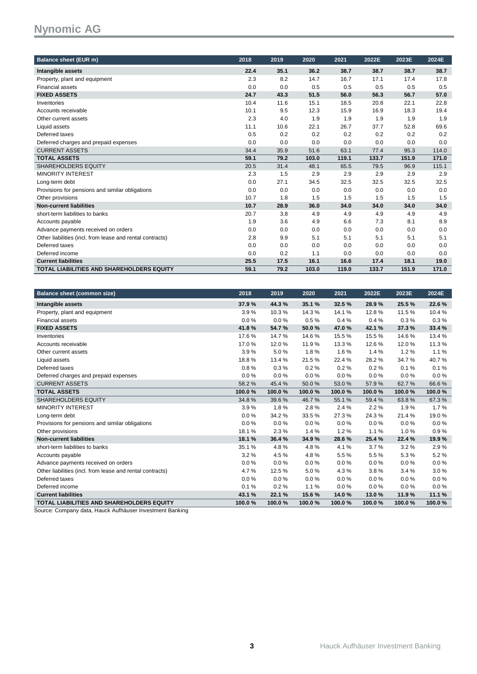| <b>Balance sheet (EUR m)</b>                              | 2018 | 2019 | 2020  | 2021  | 2022E | 2023E | 2024E |
|-----------------------------------------------------------|------|------|-------|-------|-------|-------|-------|
| Intangible assets                                         | 22.4 | 35.1 | 36.2  | 38.7  | 38.7  | 38.7  | 38.7  |
| Property, plant and equipment                             | 2.3  | 8.2  | 14.7  | 16.7  | 17.1  | 17.4  | 17.8  |
| <b>Financial assets</b>                                   | 0.0  | 0.0  | 0.5   | 0.5   | 0.5   | 0.5   | 0.5   |
| <b>FIXED ASSETS</b>                                       | 24.7 | 43.3 | 51.5  | 56.0  | 56.3  | 56.7  | 57.0  |
| Inventories                                               | 10.4 | 11.6 | 15.1  | 18.5  | 20.8  | 22.1  | 22.8  |
| Accounts receivable                                       | 10.1 | 9.5  | 12.3  | 15.9  | 16.9  | 18.3  | 19.4  |
| Other current assets                                      | 2.3  | 4.0  | 1.9   | 1.9   | 1.9   | 1.9   | 1.9   |
| Liquid assets                                             | 11.1 | 10.6 | 22.1  | 26.7  | 37.7  | 52.8  | 69.6  |
| Deferred taxes                                            | 0.5  | 0.2  | 0.2   | 0.2   | 0.2   | 0.2   | 0.2   |
| Deferred charges and prepaid expenses                     | 0.0  | 0.0  | 0.0   | 0.0   | 0.0   | 0.0   | 0.0   |
| <b>CURRENT ASSETS</b>                                     | 34.4 | 35.9 | 51.6  | 63.1  | 77.4  | 95.3  | 114.0 |
| <b>TOTAL ASSETS</b>                                       | 59.1 | 79.2 | 103.0 | 119.1 | 133.7 | 151.9 | 171.0 |
| <b>SHAREHOLDERS EQUITY</b>                                | 20.5 | 31.4 | 48.1  | 65.5  | 79.5  | 96.9  | 115.1 |
| <b>MINORITY INTEREST</b>                                  | 2.3  | 1.5  | 2.9   | 2.9   | 2.9   | 2.9   | 2.9   |
| Long-term debt                                            | 0.0  | 27.1 | 34.5  | 32.5  | 32.5  | 32.5  | 32.5  |
| Provisions for pensions and similar obligations           | 0.0  | 0.0  | 0.0   | 0.0   | 0.0   | 0.0   | 0.0   |
| Other provisions                                          | 10.7 | 1.8  | 1.5   | 1.5   | 1.5   | 1.5   | 1.5   |
| <b>Non-current liabilities</b>                            | 10.7 | 28.9 | 36.0  | 34.0  | 34.0  | 34.0  | 34.0  |
| short-term liabilities to banks                           | 20.7 | 3.8  | 4.9   | 4.9   | 4.9   | 4.9   | 4.9   |
| Accounts payable                                          | 1.9  | 3.6  | 4.9   | 6.6   | 7.3   | 8.1   | 8.9   |
| Advance payments received on orders                       | 0.0  | 0.0  | 0.0   | 0.0   | 0.0   | 0.0   | 0.0   |
| Other liabilities (incl. from lease and rental contracts) | 2.8  | 9.9  | 5.1   | 5.1   | 5.1   | 5.1   | 5.1   |
| Deferred taxes                                            | 0.0  | 0.0  | 0.0   | 0.0   | 0.0   | 0.0   | 0.0   |
| Deferred income                                           | 0.0  | 0.2  | 1.1   | 0.0   | 0.0   | 0.0   | 0.0   |
| <b>Current liabilities</b>                                | 25.5 | 17.5 | 16.1  | 16.6  | 17.4  | 18.1  | 19.0  |
| <b>TOTAL LIABILITIES AND SHAREHOLDERS EQUITY</b>          | 59.1 | 79.2 | 103.0 | 119.0 | 133.7 | 151.9 | 171.0 |

| <b>Balance sheet (common size)</b>                        | 2018   | 2019   | 2020   | 2021   | 2022E  | 2023E    | 2024E  |
|-----------------------------------------------------------|--------|--------|--------|--------|--------|----------|--------|
| Intangible assets                                         | 37.9%  | 44.3%  | 35.1 % | 32.5%  | 28.9%  | 25.5%    | 22.6%  |
| Property, plant and equipment                             | 3.9%   | 10.3%  | 14.3%  | 14.1%  | 12.8%  | 11.5 %   | 10.4%  |
| <b>Financial assets</b>                                   | 0.0%   | 0.0%   | 0.5%   | 0.4%   | 0.4%   | 0.3%     | 0.3%   |
| <b>FIXED ASSETS</b>                                       | 41.8%  | 54.7%  | 50.0%  | 47.0%  | 42.1%  | 37.3%    | 33.4%  |
| Inventories                                               | 17.6%  | 14.7%  | 14.6%  | 15.5%  | 15.5%  | 14.6%    | 13.4%  |
| Accounts receivable                                       | 17.0%  | 12.0%  | 11.9%  | 13.3%  | 12.6%  | 12.0%    | 11.3%  |
| Other current assets                                      | 3.9%   | 5.0%   | 1.8%   | 1.6%   | 1.4%   | 1.2%     | 1.1%   |
| Liquid assets                                             | 18.8%  | 13.4 % | 21.5%  | 22.4 % | 28.2%  | 34.7%    | 40.7%  |
| Deferred taxes                                            | 0.8%   | 0.3%   | 0.2%   | 0.2%   | 0.2%   | 0.1%     | 0.1%   |
| Deferred charges and prepaid expenses                     | 0.0%   | 0.0%   | 0.0%   | 0.0%   | 0.0%   | 0.0%     | 0.0%   |
| <b>CURRENT ASSETS</b>                                     | 58.2%  | 45.4%  | 50.0%  | 53.0%  | 57.9%  | 62.7%    | 66.6%  |
| <b>TOTAL ASSETS</b>                                       | 100.0% | 100.0% | 100.0% | 100.0% | 100.0% | 100.0%   | 100.0% |
| <b>SHAREHOLDERS EQUITY</b>                                | 34.8%  | 39.6%  | 46.7%  | 55.1%  | 59.4%  | 63.8%    | 67.3%  |
| <b>MINORITY INTEREST</b>                                  | 3.9%   | 1.8%   | 2.8%   | 2.4 %  | 2.2%   | 1.9%     | 1.7%   |
| Long-term debt                                            | 0.0%   | 34.2%  | 33.5%  | 27.3%  | 24.3%  | 21.4%    | 19.0%  |
| Provisions for pensions and similar obligations           | 0.0%   | 0.0%   | 0.0%   | 0.0%   | 0.0%   | $0.0 \%$ | 0.0%   |
| Other provisions                                          | 18.1%  | 2.3%   | 1.4%   | 1.2%   | 1.1%   | 1.0%     | 0.9%   |
| <b>Non-current liabilities</b>                            | 18.1%  | 36.4%  | 34.9%  | 28.6%  | 25.4%  | 22.4 %   | 19.9%  |
| short-term liabilities to banks                           | 35.1%  | 4.8%   | 4.8%   | 4.1%   | 3.7%   | 3.2%     | 2.9%   |
| Accounts payable                                          | 3.2%   | 4.5%   | 4.8%   | 5.5%   | 5.5%   | 5.3%     | 5.2%   |
| Advance payments received on orders                       | 0.0%   | 0.0%   | 0.0%   | 0.0%   | 0.0%   | $0.0\%$  | 0.0%   |
| Other liabilities (incl. from lease and rental contracts) | 4.7%   | 12.5 % | 5.0%   | 4.3%   | 3.8%   | 3.4%     | 3.0%   |
| Deferred taxes                                            | 0.0%   | 0.0%   | 0.0%   | 0.0%   | 0.0%   | 0.0%     | 0.0%   |
| Deferred income                                           | 0.1%   | 0.2%   | 1.1%   | 0.0%   | 0.0%   | 0.0%     | 0.0%   |
| <b>Current liabilities</b>                                | 43.1%  | 22.1 % | 15.6%  | 14.0%  | 13.0%  | 11.9%    | 11.1 % |
| <b>TOTAL LIABILITIES AND SHAREHOLDERS EQUITY</b>          | 100.0% | 100.0% | 100.0% | 100.0% | 100.0% | 100.0%   | 100.0% |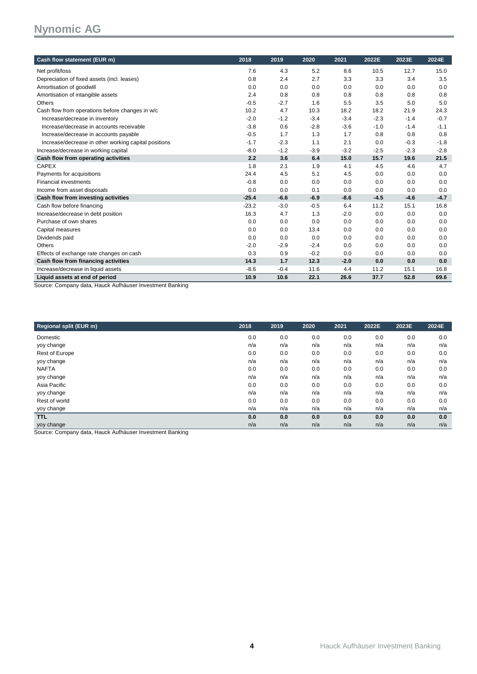| Cash flow statement (EUR m)                                                                                                            | 2018    | 2019   | 2020   | 2021   | 2022E  | 2023E  | 2024E  |
|----------------------------------------------------------------------------------------------------------------------------------------|---------|--------|--------|--------|--------|--------|--------|
| Net profit/loss                                                                                                                        | 7.6     | 4.3    | 5.2    | 8.6    | 10.5   | 12.7   | 15.0   |
| Depreciation of fixed assets (incl. leases)                                                                                            | 0.8     | 2.4    | 2.7    | 3.3    | 3.3    | 3.4    | 3.5    |
| Amortisation of goodwill                                                                                                               | 0.0     | 0.0    | 0.0    | 0.0    | 0.0    | 0.0    | 0.0    |
| Amortisation of intangible assets                                                                                                      | 2.4     | 0.8    | 0.8    | 0.8    | 0.8    | 0.8    | 0.8    |
| Others                                                                                                                                 | $-0.5$  | $-2.7$ | 1.6    | 5.5    | 3.5    | 5.0    | 5.0    |
| Cash flow from operations before changes in w/c                                                                                        | 10.2    | 4.7    | 10.3   | 18.2   | 18.2   | 21.9   | 24.3   |
| Increase/decrease in inventory                                                                                                         | $-2.0$  | $-1.2$ | $-3.4$ | $-3.4$ | $-2.3$ | $-1.4$ | $-0.7$ |
| Increase/decrease in accounts receivable                                                                                               | $-3.8$  | 0.6    | $-2.8$ | $-3.6$ | $-1.0$ | $-1.4$ | $-1.1$ |
| Increase/decrease in accounts payable                                                                                                  | $-0.5$  | 1.7    | 1.3    | 1.7    | 0.8    | 0.8    | 0.8    |
| Increase/decrease in other working capital positions                                                                                   | $-1.7$  | $-2.3$ | 1.1    | 2.1    | 0.0    | $-0.3$ | $-1.8$ |
| Increase/decrease in working capital                                                                                                   | $-8.0$  | $-1.2$ | $-3.9$ | $-3.2$ | $-2.5$ | $-2.3$ | $-2.8$ |
| Cash flow from operating activities                                                                                                    | 2.2     | 3.6    | 6.4    | 15.0   | 15.7   | 19.6   | 21.5   |
| <b>CAPEX</b>                                                                                                                           | 1.8     | 2.1    | 1.9    | 4.1    | 4.5    | 4.6    | 4.7    |
| Payments for acquisitions                                                                                                              | 24.4    | 4.5    | 5.1    | 4.5    | 0.0    | 0.0    | 0.0    |
| <b>Financial investments</b>                                                                                                           | $-0.8$  | 0.0    | 0.0    | 0.0    | 0.0    | 0.0    | 0.0    |
| Income from asset disposals                                                                                                            | 0.0     | 0.0    | 0.1    | 0.0    | 0.0    | 0.0    | 0.0    |
| Cash flow from investing activities                                                                                                    | $-25.4$ | $-6.6$ | $-6.9$ | $-8.6$ | $-4.5$ | $-4.6$ | $-4.7$ |
| Cash flow before financing                                                                                                             | $-23.2$ | $-3.0$ | $-0.5$ | 6.4    | 11.2   | 15.1   | 16.8   |
| Increase/decrease in debt position                                                                                                     | 16.3    | 4.7    | 1.3    | $-2.0$ | 0.0    | 0.0    | 0.0    |
| Purchase of own shares                                                                                                                 | 0.0     | 0.0    | 0.0    | 0.0    | 0.0    | 0.0    | 0.0    |
| Capital measures                                                                                                                       | 0.0     | 0.0    | 13.4   | 0.0    | 0.0    | 0.0    | 0.0    |
| Dividends paid                                                                                                                         | 0.0     | 0.0    | 0.0    | 0.0    | 0.0    | 0.0    | 0.0    |
| Others                                                                                                                                 | $-2.0$  | $-2.9$ | $-2.4$ | 0.0    | 0.0    | 0.0    | 0.0    |
| Effects of exchange rate changes on cash                                                                                               | 0.3     | 0.9    | $-0.2$ | 0.0    | 0.0    | 0.0    | 0.0    |
| Cash flow from financing activities                                                                                                    | 14.3    | 1.7    | 12.3   | $-2.0$ | 0.0    | 0.0    | 0.0    |
| Increase/decrease in liquid assets                                                                                                     | $-8.6$  | $-0.4$ | 11.6   | 4.4    | 11.2   | 15.1   | 16.8   |
| Liquid assets at end of period<br>$\mathbf{a}$ , $\mathbf{a}$ , $\mathbf{a}$ , $\mathbf{a}$ , $\mathbf{a}$<br>$\overline{\phantom{0}}$ | 10.9    | 10.6   | 22.1   | 26.6   | 37.7   | 52.8   | 69.6   |

Source: Company data, Hauck Aufhäuser Investment Banking

| <b>Regional split (EUR m)</b>                             | 2018 | 2019 | 2020 | 2021 | 2022E | 2023E | 2024E |
|-----------------------------------------------------------|------|------|------|------|-------|-------|-------|
| Domestic                                                  | 0.0  | 0.0  | 0.0  | 0.0  | 0.0   | 0.0   | 0.0   |
| yoy change                                                | n/a  | n/a  | n/a  | n/a  | n/a   | n/a   | n/a   |
| Rest of Europe                                            | 0.0  | 0.0  | 0.0  | 0.0  | 0.0   | 0.0   | 0.0   |
| yoy change                                                | n/a  | n/a  | n/a  | n/a  | n/a   | n/a   | n/a   |
| <b>NAFTA</b>                                              | 0.0  | 0.0  | 0.0  | 0.0  | 0.0   | 0.0   | 0.0   |
| yoy change                                                | n/a  | n/a  | n/a  | n/a  | n/a   | n/a   | n/a   |
| Asia Pacific                                              | 0.0  | 0.0  | 0.0  | 0.0  | 0.0   | 0.0   | 0.0   |
| yoy change                                                | n/a  | n/a  | n/a  | n/a  | n/a   | n/a   | n/a   |
| Rest of world                                             | 0.0  | 0.0  | 0.0  | 0.0  | 0.0   | 0.0   | 0.0   |
| yoy change                                                | n/a  | n/a  | n/a  | n/a  | n/a   | n/a   | n/a   |
| <b>TTL</b>                                                | 0.0  | 0.0  | 0.0  | 0.0  | 0.0   | 0.0   | 0.0   |
| yoy change                                                | n/a  | n/a  | n/a  | n/a  | n/a   | n/a   | n/a   |
| Course: Company detail lough Aufhäuser Investment Donking |      |      |      |      |       |       |       |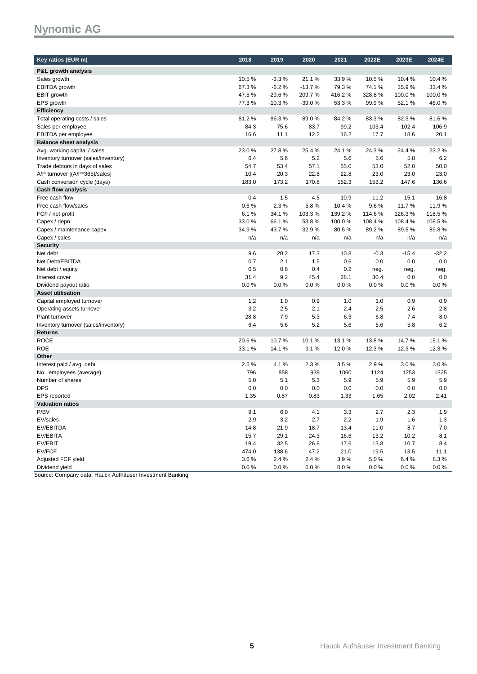| Key ratios (EUR m)                   | 2018  | 2019     | 2020     | 2021   | 2022E  | 2023E     | 2024E     |
|--------------------------------------|-------|----------|----------|--------|--------|-----------|-----------|
|                                      |       |          |          |        |        |           |           |
| P&L growth analysis                  |       |          |          |        |        |           |           |
| Sales growth                         | 10.5% | $-3.3%$  | 21.1%    | 33.9%  | 10.5%  | 10.4%     | 10.4%     |
| EBITDA growth                        | 67.3% | $-6.2%$  | $-13.7%$ | 79.3%  | 74.1%  | 35.9%     | 33.4%     |
| EBIT growth                          | 47.5% | $-29.6%$ | 209.7%   | 416.2% | 328.8% | $-100.0%$ | $-100.0%$ |
| EPS growth                           | 77.3% | $-10.3%$ | $-39.0%$ | 53.3%  | 99.9%  | 52.1%     | 46.0%     |
| <b>Efficiency</b>                    |       |          |          |        |        |           |           |
| Total operating costs / sales        | 81.2% | 86.3%    | 89.0%    | 84.2%  | 83.3%  | 82.3%     | 81.6%     |
| Sales per employee                   | 84.3  | 75.6     | 83.7     | 99.2   | 103.4  | 102.4     | 106.9     |
| EBITDA per employee                  | 16.6  | 11.1     | 12.2     | 16.2   | 17.7   | 18.6      | 20.1      |
| <b>Balance sheet analysis</b>        |       |          |          |        |        |           |           |
| Avg. working capital / sales         | 23.0% | 27.8%    | 25.4%    | 24.1%  | 24.3%  | 24.4%     | 23.2%     |
| Inventory turnover (sales/inventory) | 6.4   | 5.6      | 5.2      | 5.6    | 5.6    | 5.8       | 6.2       |
| Trade debtors in days of sales       | 54.7  | 53.4     | 57.1     | 55.0   | 53.0   | 52.0      | 50.0      |
| A/P turnover [(A/P*365)/sales]       | 10.4  | 20.3     | 22.8     | 22.8   | 23.0   | 23.0      | 23.0      |
| Cash conversion cycle (days)         | 183.0 | 173.2    | 170.8    | 152.3  | 153.2  | 147.6     | 136.6     |
| <b>Cash flow analysis</b>            |       |          |          |        |        |           |           |
| Free cash flow                       | 0.4   | 1.5      | 4.5      | 10.9   | 11.2   | 15.1      | 16.8      |
| Free cash flow/sales                 | 0.6%  | 2.3%     | 5.8%     | 10.4%  | 9.6%   | 11.7%     | 11.9%     |
| FCF / net profit                     | 6.1%  | 34.1%    | 103.3%   | 139.2% | 114.6% | 126.3%    | 118.5%    |
| Capex / depn                         | 33.0% | 66.1%    | 53.8%    | 100.0% | 108.4% | 108.4%    | 108.5%    |
| Capex / maintenance capex            | 34.9% | 43.7%    | 32.9%    | 80.5%  | 89.2%  | 89.5%     | 89.8%     |
| Capex / sales                        | n/a   | n/a      | n/a      | n/a    | n/a    | n/a       | n/a       |
| <b>Security</b>                      |       |          |          |        |        |           |           |
| Net debt                             | 9.6   | 20.2     | 17.3     | 10.8   | $-0.3$ | $-15.4$   | $-32.2$   |
| Net Debt/EBITDA                      | 0.7   | 2.1      | 1.5      | 0.6    | 0.0    | 0.0       | 0.0       |
| Net debt / equity                    | 0.5   | 0.6      | 0.4      | 0.2    | neg.   | neg.      | neg.      |
| Interest cover                       | 31.4  | 9.2      | 45.4     | 28.1   | 30.4   | 0.0       | 0.0       |
| Dividend payout ratio                | 0.0%  | 0.0 %    | 0.0%     | 0.0%   | 0.0%   | 0.0%      | 0.0%      |
| <b>Asset utilisation</b>             |       |          |          |        |        |           |           |
| Capital employed turnover            | 1.2   | 1.0      | 0.9      | 1.0    | 1.0    | 0.9       | 0.9       |
| Operating assets turnover            | 3.2   | 2.5      | 2.1      | 2.4    | 2.5    | 2.6       | 2.8       |
| Plant turnover                       | 28.8  | 7.9      | 5.3      | 6.3    | 6.8    | 7.4       | 8.0       |
| Inventory turnover (sales/inventory) | 6.4   | 5.6      | 5.2      | 5.6    | 5.6    | 5.8       | 6.2       |
| <b>Returns</b>                       |       |          |          |        |        |           |           |
| <b>ROCE</b>                          | 20.6% | 10.7%    | 10.1%    | 13.1%  | 13.8%  | 14.7%     | 15.1%     |
| <b>ROE</b>                           | 33.1% | 14.1%    | 9.1%     | 12.0%  | 12.3%  | 12.3%     | 12.3%     |
| Other                                |       |          |          |        |        |           |           |
| Interest paid / avg. debt            | 2.5%  | 4.1%     | 2.3%     | 3.5%   | 2.9%   | 3.0%      | 3.0%      |
| No. employees (average)              | 796   | 858      | 939      | 1060   | 1124   | 1253      | 1325      |
| Number of shares                     | 5.0   | 5.1      | 5.3      | 5.9    | 5.9    | 5.9       | 5.9       |
| <b>DPS</b>                           | 0.0   | 0.0      | 0.0      | 0.0    | 0.0    | 0.0       | 0.0       |
| <b>EPS</b> reported                  | 1.35  | 0.87     | 0.83     | 1.33   | 1.65   | 2.02      | 2.41      |
| <b>Valuation ratios</b>              |       |          |          |        |        |           |           |
| P/BV                                 | 9.1   | 6.0      | 4.1      | 3.3    | 2.7    | 2.3       | 1.9       |
| EV/sales                             | 2.9   | 3.2      | 2.7      | 2.2    | 1.9    | 1.6       | 1.3       |
| EV/EBITDA                            | 14.8  | 21.9     | 18.7     | 13.4   | 11.0   | 8.7       | 7.0       |
| EV/EBITA                             | 15.7  | 29.1     | 24.3     | 16.6   | 13.2   | 10.2      | 8.1       |
| EV/EBIT                              | 19.4  | 32.5     | 26.8     | 17.6   | 13.8   | 10.7      | 8.4       |
| EV/FCF                               | 474.0 | 138.6    | 47.2     | 21.0   | 19.5   | 13.5      | 11.1      |
| Adjusted FCF yield                   | 3.6%  | 2.4%     | 2.4%     | 3.9%   | 5.0%   | 6.4%      | 8.3%      |
| Dividend yield                       | 0.0%  | 0.0%     | 0.0%     | 0.0%   | 0.0%   | 0.0%      | 0.0%      |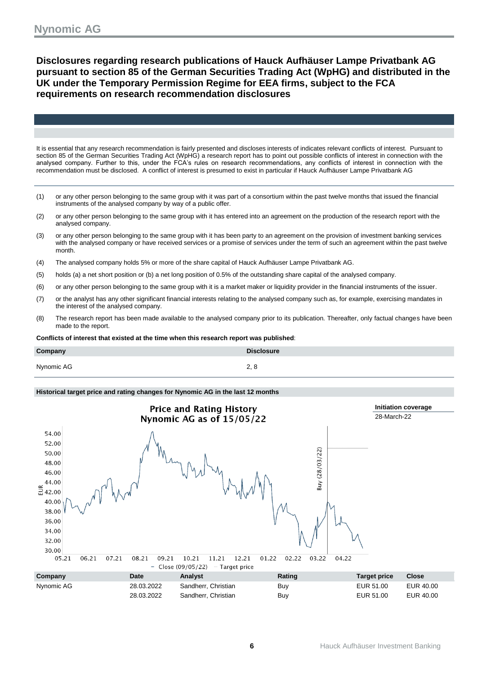**Disclosures regarding research publications of Hauck Aufhäuser Lampe Privatbank AG pursuant to section 85 of the German Securities Trading Act (WpHG) and distributed in the UK under the Temporary Permission Regime for EEA firms, subject to the FCA requirements on research recommendation disclosures**

It is essential that any research recommendation is fairly presented and discloses interests of indicates relevant conflicts of interest. Pursuant to section 85 of the German Securities Trading Act (WpHG) a research report has to point out possible conflicts of interest in connection with the analysed company. Further to this, under the FCA's rules on research recommendations, any conflicts of interest in connection with the recommendation must be disclosed. A conflict of interest is presumed to exist in particular if Hauck Aufhäuser Lampe Privatbank AG

- (1) or any other person belonging to the same group with it was part of a consortium within the past twelve months that issued the financial instruments of the analysed company by way of a public offer.
- (2) or any other person belonging to the same group with it has entered into an agreement on the production of the research report with the analysed company.
- (3) or any other person belonging to the same group with it has been party to an agreement on the provision of investment banking services with the analysed company or have received services or a promise of services under the term of such an agreement within the past twelve month.
- (4) The analysed company holds 5% or more of the share capital of Hauck Aufhäuser Lampe Privatbank AG.
- (5) holds (a) a net short position or (b) a net long position of 0.5% of the outstanding share capital of the analysed company.
- (6) or any other person belonging to the same group with it is a market maker or liquidity provider in the financial instruments of the issuer.
- (7) or the analyst has any other significant financial interests relating to the analysed company such as, for example, exercising mandates in the interest of the analysed company.
- (8) The research report has been made available to the analysed company prior to its publication. Thereafter, only factual changes have been made to the report.

**Conflicts of interest that existed at the time when this research report was published**:

| Company    | <b>Disclosure</b> |
|------------|-------------------|
| Nynomic AG | z, o              |

#### **Historical target price and rating changes for Nynomic AG in the last 12 months**

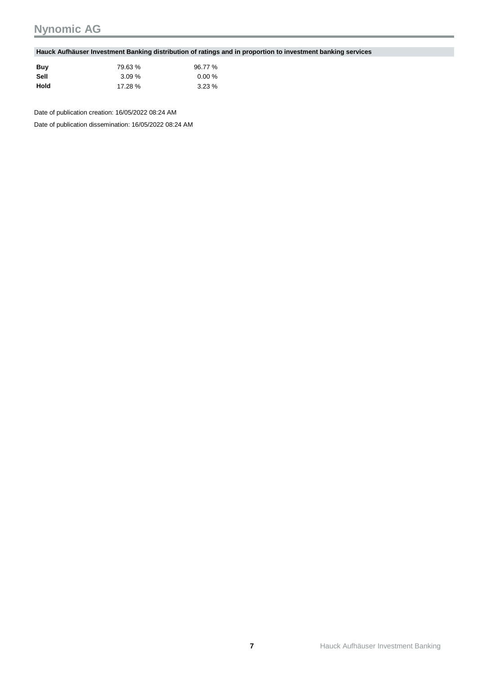#### **Hauck Aufhäuser Investment Banking distribution of ratings and in proportion to investment banking services**

| Buv  | 79.63 %  | 96.77 % |
|------|----------|---------|
| Sell | $3.09\%$ | 0.00%   |
| Hold | 17.28 %  | 3.23%   |

Date of publication creation: 16/05/2022 08:24 AM

Date of publication dissemination: 16/05/2022 08:24 AM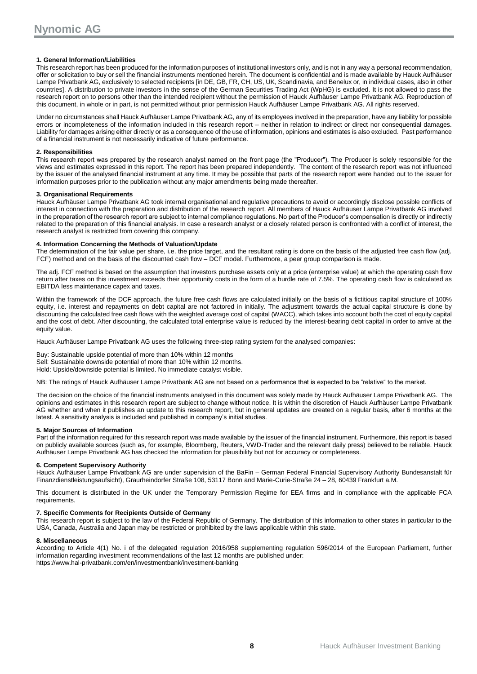#### **1. General Information/Liabilities**

This research report has been produced for the information purposes of institutional investors only, and is not in any way a personal recommendation, offer or solicitation to buy or sell the financial instruments mentioned herein. The document is confidential and is made available by Hauck Aufhäuser Lampe Privatbank AG, exclusively to selected recipients [in DE, GB, FR, CH, US, UK, Scandinavia, and Benelux or, in individual cases, also in other countries]. A distribution to private investors in the sense of the German Securities Trading Act (WpHG) is excluded. It is not allowed to pass the research report on to persons other than the intended recipient without the permission of Hauck Aufhäuser Lampe Privatbank AG. Reproduction of this document, in whole or in part, is not permitted without prior permission Hauck Aufhäuser Lampe Privatbank AG. All rights reserved.

Under no circumstances shall Hauck Aufhäuser Lampe Privatbank AG, any of its employees involved in the preparation, have any liability for possible errors or incompleteness of the information included in this research report – neither in relation to indirect or direct nor consequential damages. Liability for damages arising either directly or as a consequence of the use of information, opinions and estimates is also excluded. Past performance of a financial instrument is not necessarily indicative of future performance.

#### **2. Responsibilities**

This research report was prepared by the research analyst named on the front page (the "Producer"). The Producer is solely responsible for the views and estimates expressed in this report. The report has been prepared independently. The content of the research report was not influenced by the issuer of the analysed financial instrument at any time. It may be possible that parts of the research report were handed out to the issuer for information purposes prior to the publication without any major amendments being made thereafter.

#### **3. Organisational Requirements**

Hauck Aufhäuser Lampe Privatbank AG took internal organisational and regulative precautions to avoid or accordingly disclose possible conflicts of interest in connection with the preparation and distribution of the research report. All members of Hauck Aufhäuser Lampe Privatbank AG involved in the preparation of the research report are subject to internal compliance regulations. No part of the Producer's compensation is directly or indirectly related to the preparation of this financial analysis. In case a research analyst or a closely related person is confronted with a conflict of interest, the research analyst is restricted from covering this company.

#### **4. Information Concerning the Methods of Valuation/Update**

The determination of the fair value per share, i.e. the price target, and the resultant rating is done on the basis of the adjusted free cash flow (adj. FCF) method and on the basis of the discounted cash flow – DCF model. Furthermore, a peer group comparison is made.

The adj. FCF method is based on the assumption that investors purchase assets only at a price (enterprise value) at which the operating cash flow return after taxes on this investment exceeds their opportunity costs in the form of a hurdle rate of 7.5%. The operating cash flow is calculated as EBITDA less maintenance capex and taxes.

Within the framework of the DCF approach, the future free cash flows are calculated initially on the basis of a fictitious capital structure of 100% equity, i.e. interest and repayments on debt capital are not factored in initially. The adjustment towards the actual capital structure is done by discounting the calculated free cash flows with the weighted average cost of capital (WACC), which takes into account both the cost of equity capital and the cost of debt. After discounting, the calculated total enterprise value is reduced by the interest-bearing debt capital in order to arrive at the equity value.

Hauck Aufhäuser Lampe Privatbank AG uses the following three-step rating system for the analysed companies:

Buy: Sustainable upside potential of more than 10% within 12 months Sell: Sustainable downside potential of more than 10% within 12 months. Hold: Upside/downside potential is limited. No immediate catalyst visible.

NB: The ratings of Hauck Aufhäuser Lampe Privatbank AG are not based on a performance that is expected to be "relative" to the market.

The decision on the choice of the financial instruments analysed in this document was solely made by Hauck Aufhäuser Lampe Privatbank AG. The opinions and estimates in this research report are subject to change without notice. It is within the discretion of Hauck Aufhäuser Lampe Privatbank AG whether and when it publishes an update to this research report, but in general updates are created on a regular basis, after 6 months at the latest. A sensitivity analysis is included and published in company's initial studies.

#### **5. Major Sources of Information**

Part of the information required for this research report was made available by the issuer of the financial instrument. Furthermore, this report is based on publicly available sources (such as, for example, Bloomberg, Reuters, VWD-Trader and the relevant daily press) believed to be reliable. Hauck Aufhäuser Lampe Privatbank AG has checked the information for plausibility but not for accuracy or completeness.

#### **6. Competent Supervisory Authority**

Hauck Aufhäuser Lampe Privatbank AG are under supervision of the BaFin – German Federal Financial Supervisory Authority Bundesanstalt für Finanzdienstleistungsaufsicht), Graurheindorfer Straße 108, 53117 Bonn and Marie-Curie-Straße 24 – 28, 60439 Frankfurt a.M.

This document is distributed in the UK under the Temporary Permission Regime for EEA firms and in compliance with the applicable FCA requirements.

#### **7. Specific Comments for Recipients Outside of Germany**

This research report is subject to the law of the Federal Republic of Germany. The distribution of this information to other states in particular to the USA, Canada, Australia and Japan may be restricted or prohibited by the laws applicable within this state.

#### **8. Miscellaneous**

According to Article 4(1) No. i of the delegated regulation 2016/958 supplementing regulation 596/2014 of the European Parliament, further information regarding investment recommendations of the last 12 months are published under: <https://www.hal-privatbank.com/en/investmentbank/investment-banking>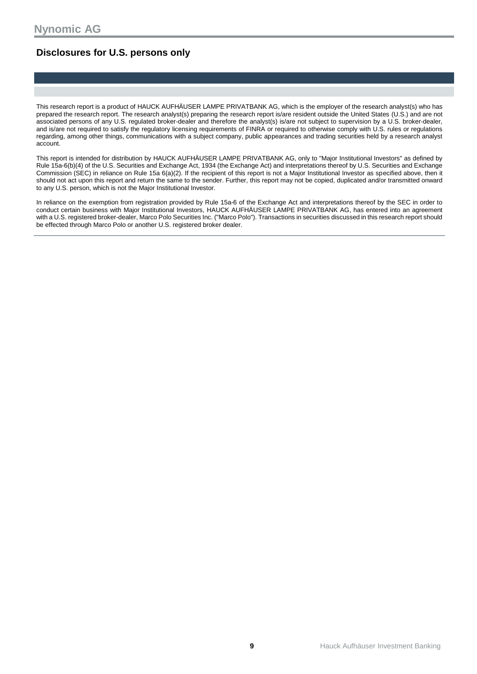### **Disclosures for U.S. persons only**

This research report is a product of HAUCK AUFHÄUSER LAMPE PRIVATBANK AG, which is the employer of the research analyst(s) who has prepared the research report. The research analyst(s) preparing the research report is/are resident outside the United States (U.S.) and are not associated persons of any U.S. regulated broker-dealer and therefore the analyst(s) is/are not subject to supervision by a U.S. broker-dealer, and is/are not required to satisfy the regulatory licensing requirements of FINRA or required to otherwise comply with U.S. rules or regulations regarding, among other things, communications with a subject company, public appearances and trading securities held by a research analyst account.

This report is intended for distribution by HAUCK AUFHÄUSER LAMPE PRIVATBANK AG, only to "Major Institutional Investors" as defined by Rule 15a-6(b)(4) of the U.S. Securities and Exchange Act, 1934 (the Exchange Act) and interpretations thereof by U.S. Securities and Exchange Commission (SEC) in reliance on Rule 15a 6(a)(2). If the recipient of this report is not a Major Institutional Investor as specified above, then it should not act upon this report and return the same to the sender. Further, this report may not be copied, duplicated and/or transmitted onward to any U.S. person, which is not the Major Institutional Investor.

In reliance on the exemption from registration provided by Rule 15a-6 of the Exchange Act and interpretations thereof by the SEC in order to conduct certain business with Major Institutional Investors, HAUCK AUFHÄUSER LAMPE PRIVATBANK AG, has entered into an agreement with a U.S. registered broker-dealer, Marco Polo Securities Inc. ("Marco Polo"). Transactions in securities discussed in this research report should be effected through Marco Polo or another U.S. registered broker dealer.